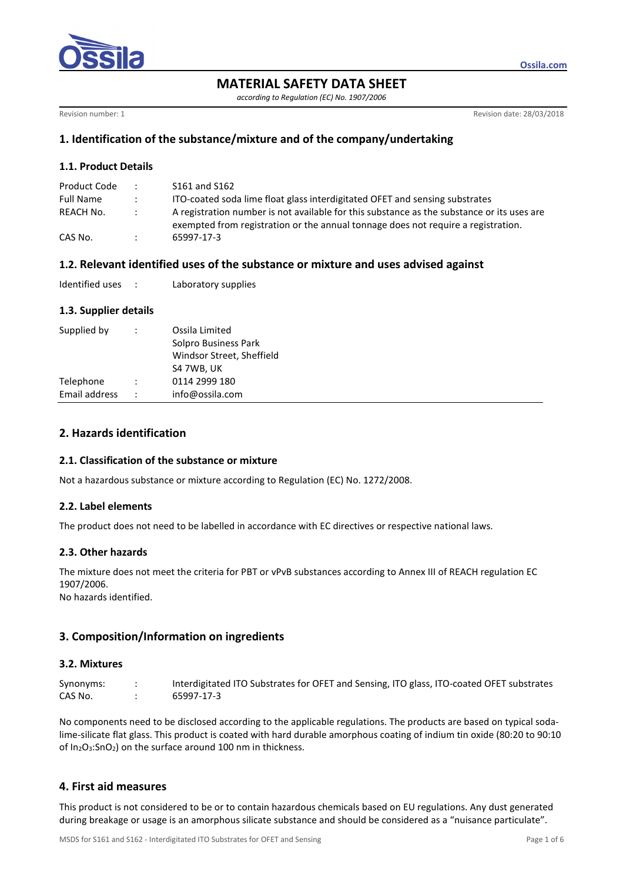

**MATERIAL SAFETY DATA SHEET** 

*according to Regulation (EC) No. 1907/2006* 

Revision number: 1 **Revision date: 28/03/2018** 

**Ossila.com**

# **1. Identification of the substance/mixture and of the company/undertaking**

### **1.1. Product Details**

| Product Code     | $\cdot$       | S161 and S162                                                                                                                                                                   |
|------------------|---------------|---------------------------------------------------------------------------------------------------------------------------------------------------------------------------------|
| <b>Full Name</b> | $\sim$        | ITO-coated soda lime float glass interdigitated OFET and sensing substrates                                                                                                     |
| REACH No.        | $\mathcal{L}$ | A registration number is not available for this substance as the substance or its uses are<br>exempted from registration or the annual tonnage does not require a registration. |
| CAS No.          |               | 65997-17-3                                                                                                                                                                      |

# **1.2. Relevant identified uses of the substance or mixture and uses advised against**

| Identified uses |  | Laboratory supplies |
|-----------------|--|---------------------|
|-----------------|--|---------------------|

## **1.3. Supplier details**

| Supplied by   |    | Ossila Limited<br>Solpro Business Park<br>Windsor Street, Sheffield<br>S4 7WB, UK |
|---------------|----|-----------------------------------------------------------------------------------|
| Telephone     |    | 0114 2999 180                                                                     |
| Email address | ٠. | info@ossila.com                                                                   |

# **2. Hazards identification**

#### **2.1. Classification of the substance or mixture**

Not a hazardous substance or mixture according to Regulation (EC) No. 1272/2008.

#### **2.2. Label elements**

The product does not need to be labelled in accordance with EC directives or respective national laws.

#### **2.3. Other hazards**

The mixture does not meet the criteria for PBT or vPvB substances according to Annex III of REACH regulation EC 1907/2006.

No hazards identified.

# **3. Composition/Information on ingredients**

# **3.2. Mixtures**

Synonyms: : Interdigitated ITO Substrates for OFET and Sensing, ITO glass, ITO-coated OFET substrates CAS No. : 65997-17-3

No components need to be disclosed according to the applicable regulations. The products are based on typical sodalime-silicate flat glass. This product is coated with hard durable amorphous coating of indium tin oxide (80:20 to 90:10 of In2O3:SnO2) on the surface around 100 nm in thickness.

# **4. First aid measures**

This product is not considered to be or to contain hazardous chemicals based on EU regulations. Any dust generated during breakage or usage is an amorphous silicate substance and should be considered as a "nuisance particulate".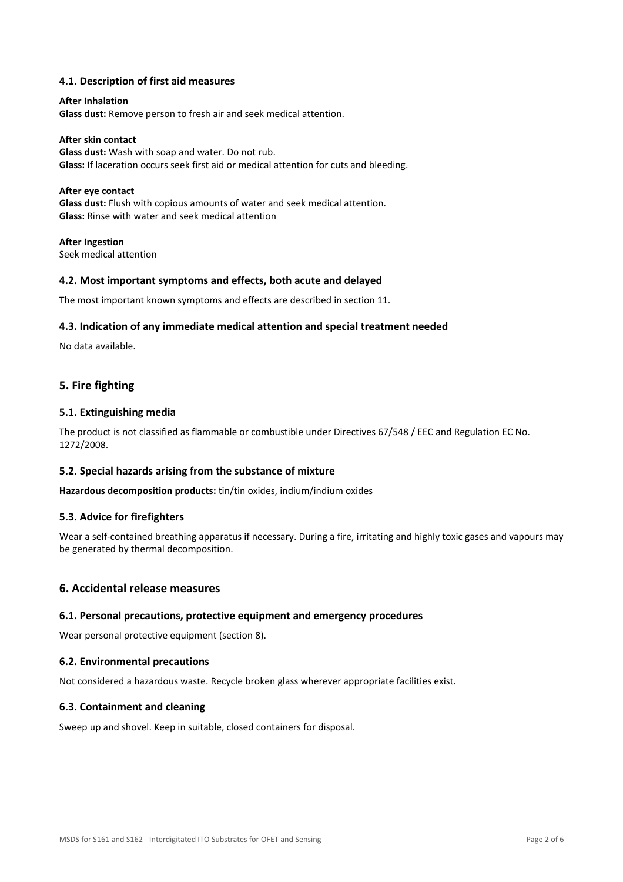## **4.1. Description of first aid measures**

# **After Inhalation Glass dust:** Remove person to fresh air and seek medical attention.

**After skin contact Glass dust:** Wash with soap and water. Do not rub. **Glass:** If laceration occurs seek first aid or medical attention for cuts and bleeding.

### **After eye contact**

**Glass dust:** Flush with copious amounts of water and seek medical attention. **Glass:** Rinse with water and seek medical attention

**After Ingestion**  Seek medical attention

#### **4.2. Most important symptoms and effects, both acute and delayed**

The most important known symptoms and effects are described in section 11.

#### **4.3. Indication of any immediate medical attention and special treatment needed**

No data available.

## **5. Fire fighting**

#### **5.1. Extinguishing media**

The product is not classified as flammable or combustible under Directives 67/548 / EEC and Regulation EC No. 1272/2008.

#### **5.2. Special hazards arising from the substance of mixture**

**Hazardous decomposition products:** tin/tin oxides, indium/indium oxides

#### **5.3. Advice for firefighters**

Wear a self-contained breathing apparatus if necessary. During a fire, irritating and highly toxic gases and vapours may be generated by thermal decomposition.

#### **6. Accidental release measures**

#### **6.1. Personal precautions, protective equipment and emergency procedures**

Wear personal protective equipment (section 8).

#### **6.2. Environmental precautions**

Not considered a hazardous waste. Recycle broken glass wherever appropriate facilities exist.

#### **6.3. Containment and cleaning**

Sweep up and shovel. Keep in suitable, closed containers for disposal.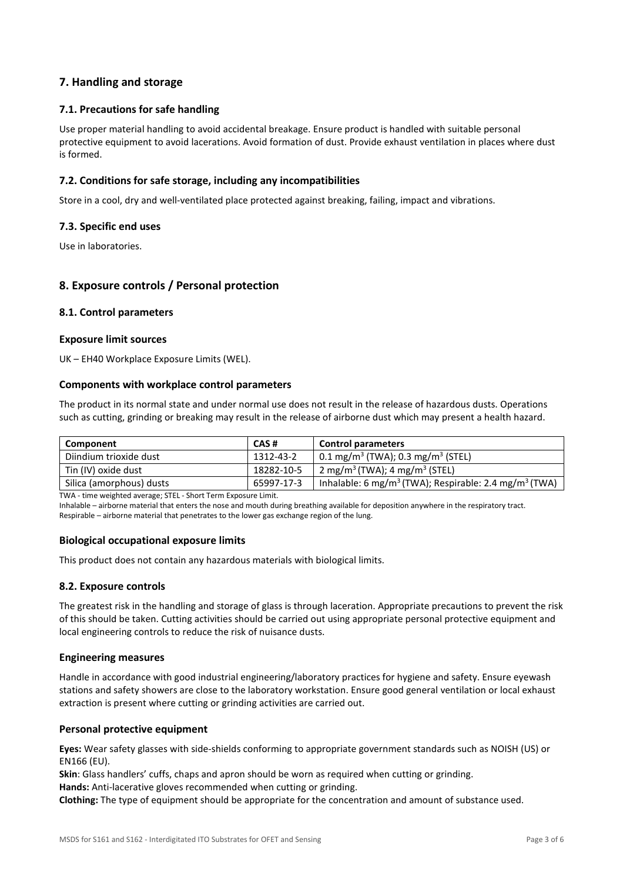# **7. Handling and storage**

## **7.1. Precautions for safe handling**

Use proper material handling to avoid accidental breakage. Ensure product is handled with suitable personal protective equipment to avoid lacerations. Avoid formation of dust. Provide exhaust ventilation in places where dust is formed.

### **7.2. Conditions for safe storage, including any incompatibilities**

Store in a cool, dry and well-ventilated place protected against breaking, failing, impact and vibrations.

#### **7.3. Specific end uses**

Use in laboratories.

# **8. Exposure controls / Personal protection**

#### **8.1. Control parameters**

#### **Exposure limit sources**

UK – EH40 Workplace Exposure Limits (WEL).

#### **Components with workplace control parameters**

The product in its normal state and under normal use does not result in the release of hazardous dusts. Operations such as cutting, grinding or breaking may result in the release of airborne dust which may present a health hazard.

| CAS#       | <b>Control parameters</b>                                                     |  |
|------------|-------------------------------------------------------------------------------|--|
| 1312-43-2  | $\vert$ 0.1 mg/m <sup>3</sup> (TWA); 0.3 mg/m <sup>3</sup> (STEL)             |  |
| 18282-10-5 | 2 mg/m <sup>3</sup> (TWA); 4 mg/m <sup>3</sup> (STEL)                         |  |
| 65997-17-3 | Inhalable: 6 mg/m <sup>3</sup> (TWA); Respirable: 2.4 mg/m <sup>3</sup> (TWA) |  |
|            |                                                                               |  |

TWA - time weighted average; STEL - Short Term Exposure Limit.

Inhalable – airborne material that enters the nose and mouth during breathing available for deposition anywhere in the respiratory tract. Respirable – airborne material that penetrates to the lower gas exchange region of the lung.

#### **Biological occupational exposure limits**

This product does not contain any hazardous materials with biological limits.

#### **8.2. Exposure controls**

The greatest risk in the handling and storage of glass is through laceration. Appropriate precautions to prevent the risk of this should be taken. Cutting activities should be carried out using appropriate personal protective equipment and local engineering controls to reduce the risk of nuisance dusts.

#### **Engineering measures**

Handle in accordance with good industrial engineering/laboratory practices for hygiene and safety. Ensure eyewash stations and safety showers are close to the laboratory workstation. Ensure good general ventilation or local exhaust extraction is present where cutting or grinding activities are carried out.

#### **Personal protective equipment**

**Eyes:** Wear safety glasses with side-shields conforming to appropriate government standards such as NOISH (US) or EN166 (EU).

**Skin**: Glass handlers' cuffs, chaps and apron should be worn as required when cutting or grinding.

**Hands:** Anti-lacerative gloves recommended when cutting or grinding.

**Clothing:** The type of equipment should be appropriate for the concentration and amount of substance used.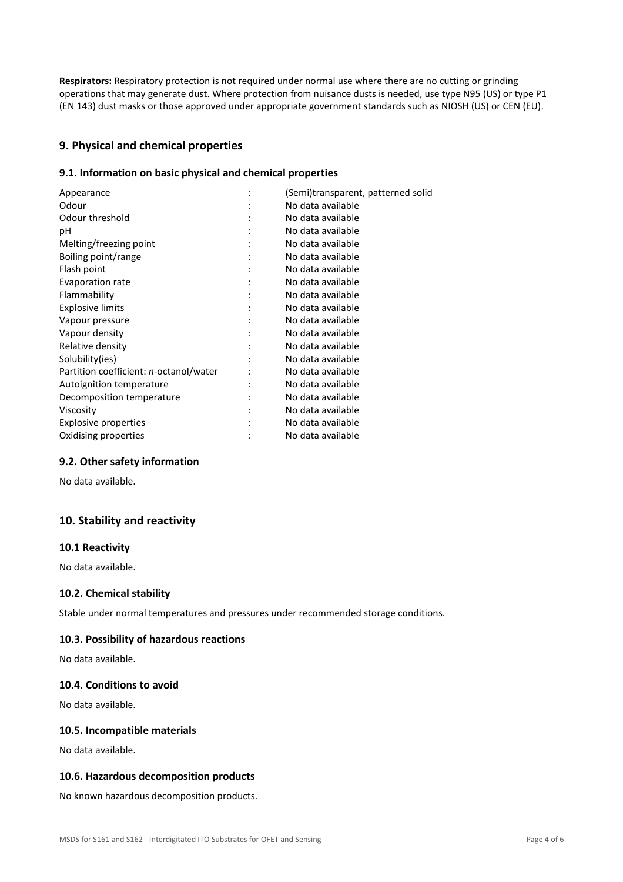**Respirators:** Respiratory protection is not required under normal use where there are no cutting or grinding operations that may generate dust. Where protection from nuisance dusts is needed, use type N95 (US) or type P1 (EN 143) dust masks or those approved under appropriate government standards such as NIOSH (US) or CEN (EU).

# **9. Physical and chemical properties**

## **9.1. Information on basic physical and chemical properties**

| (Semi)transparent, patterned solid |
|------------------------------------|
| No data available                  |
| No data available                  |
| No data available                  |
| No data available                  |
| No data available                  |
| No data available                  |
| No data available                  |
| No data available                  |
| No data available                  |
| No data available                  |
| No data available                  |
| No data available                  |
| No data available                  |
| No data available                  |
| No data available                  |
| No data available                  |
| No data available                  |
| No data available                  |
| No data available                  |
|                                    |

#### **9.2. Other safety information**

No data available.

# **10. Stability and reactivity**

#### **10.1 Reactivity**

No data available.

# **10.2. Chemical stability**

Stable under normal temperatures and pressures under recommended storage conditions.

#### **10.3. Possibility of hazardous reactions**

No data available.

#### **10.4. Conditions to avoid**

No data available.

## **10.5. Incompatible materials**

No data available.

#### **10.6. Hazardous decomposition products**

No known hazardous decomposition products.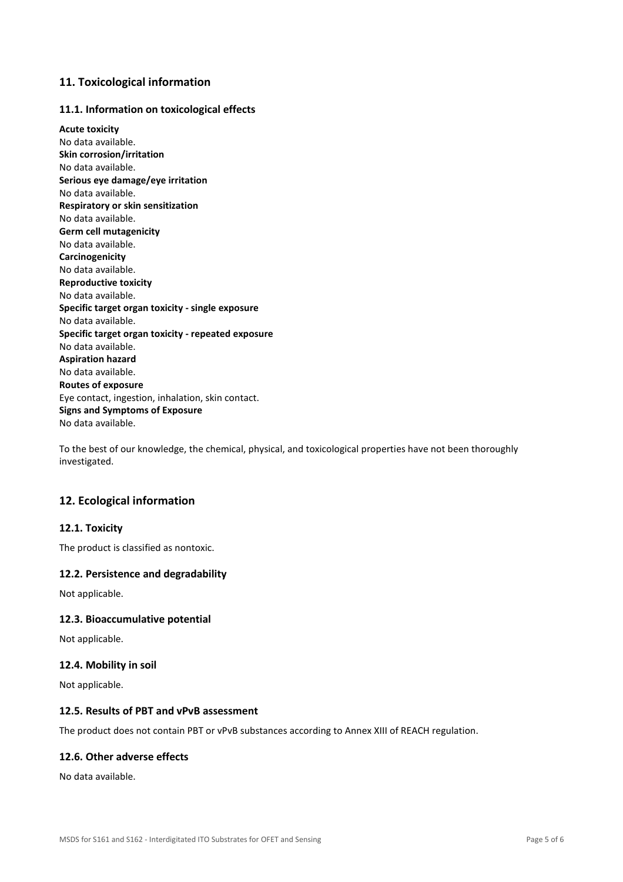# **11. Toxicological information**

## **11.1. Information on toxicological effects**

**Acute toxicity**  No data available. **Skin corrosion/irritation**  No data available. **Serious eye damage/eye irritation**  No data available. **Respiratory or skin sensitization**  No data available. **Germ cell mutagenicity**  No data available. **Carcinogenicity**  No data available. **Reproductive toxicity**  No data available. **Specific target organ toxicity - single exposure**  No data available. **Specific target organ toxicity - repeated exposure**  No data available. **Aspiration hazard**  No data available. **Routes of exposure**  Eye contact, ingestion, inhalation, skin contact. **Signs and Symptoms of Exposure**  No data available.

To the best of our knowledge, the chemical, physical, and toxicological properties have not been thoroughly investigated.

# **12. Ecological information**

#### **12.1. Toxicity**

The product is classified as nontoxic.

#### **12.2. Persistence and degradability**

Not applicable.

#### **12.3. Bioaccumulative potential**

Not applicable.

#### **12.4. Mobility in soil**

Not applicable.

#### **12.5. Results of PBT and vPvB assessment**

The product does not contain PBT or vPvB substances according to Annex XIII of REACH regulation.

### **12.6. Other adverse effects**

No data available.